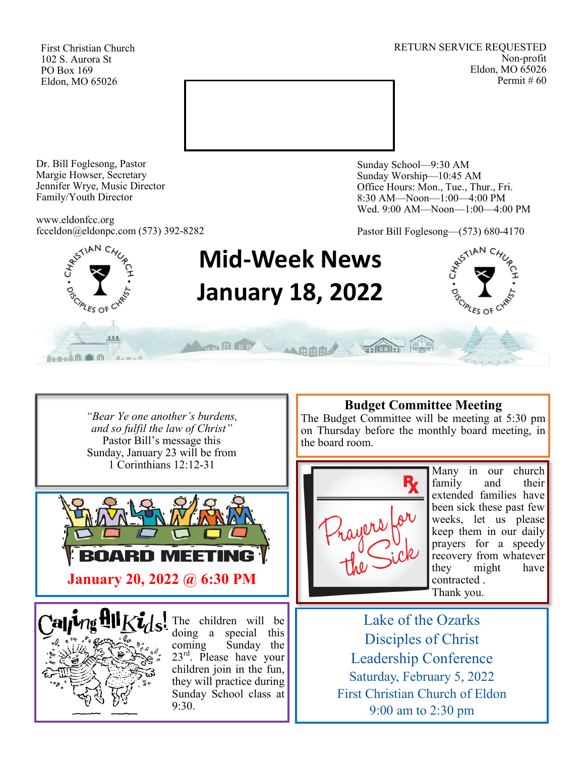First Christian Church 102 S. Aurora St PO Box 169 Eldon, MO 65026

RETURN SERVICE REQUESTED Non-profit Eldon, MO 65026 Permit # 60



Dr. Bill Foglesong, Pastor Margie Howser, Secretary Jennifer Wrye, Music Director Family/Youth Director

www.eldonfcc.org fcceldon@eldonpc.com (573) 392-8282 Sunday School—9:30 AM Sunday Worship—10:45 AM Office Hours: Mon., Tue., Thur., Fri. 8:30 AM—Noon—1:00—4:00 PM Wed. 9:00 AM—Noon—1:00—4:00 PM

Pastor Bill Foglesong—(573) 680-4170



*"Bear Ye one another's burdens, and so fulfil the law of Christ"* Pastor Bill's message this Sunday, January 23 will be from 1 Corinthians 12:12-31





The children will be doing a special this coming Sunday the  $23<sup>rd</sup>$ . Please have your children join in the fun, they will practice during Sunday School class at 9:30.

### **Budget Committee Meeting**

The Budget Committee will be meeting at  $5:30$  pm on Thursday before the monthly board meeting, in the board room.



Many in our church family and their extended families have been sick these past few weeks, let us please keep them in our daily prayers for a speedy recovery from whatever they might have contracted . Thank you.

Lake of the Ozarks Disciples of Christ Leadership Conference Saturday, February 5, 2022 First Christian Church of Eldon 9:00 am to 2:30 pm